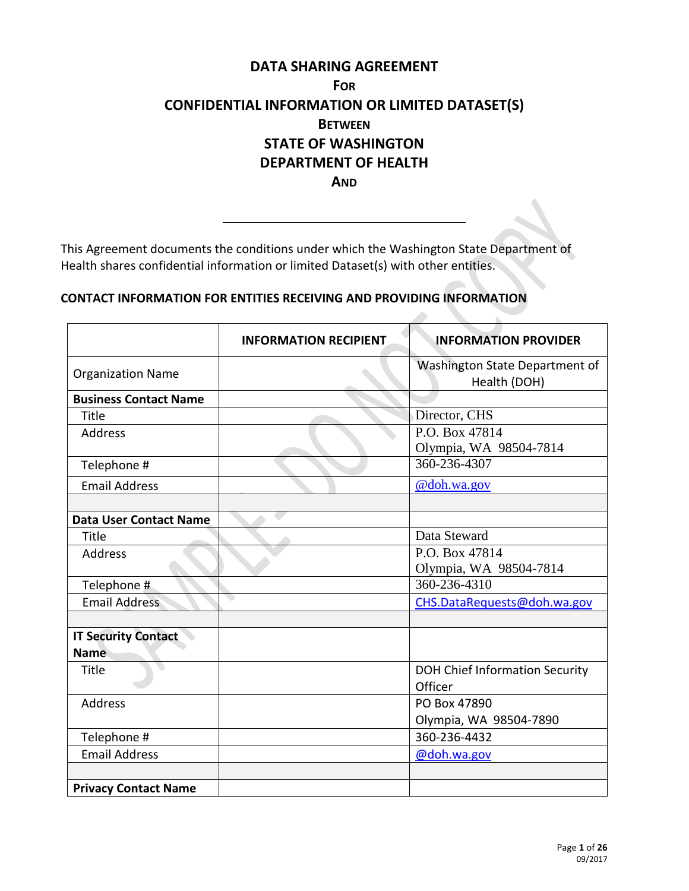# **DATA SHARING AGREEMENT FOR CONFIDENTIAL INFORMATION OR LIMITED DATASET(S) BETWEEN STATE OF WASHINGTON DEPARTMENT OF HEALTH AND**

This Agreement documents the conditions under which the Washington State Department of Health shares confidential information or limited Dataset(s) with other entities.

## **CONTACT INFORMATION FOR ENTITIES RECEIVING AND PROVIDING INFORMATION**

|                               | <b>INFORMATION RECIPIENT</b> | <b>INFORMATION PROVIDER</b>                    |
|-------------------------------|------------------------------|------------------------------------------------|
| <b>Organization Name</b>      |                              | Washington State Department of<br>Health (DOH) |
| <b>Business Contact Name</b>  |                              |                                                |
| Title                         |                              | Director, CHS                                  |
| Address                       |                              | P.O. Box 47814                                 |
|                               |                              | Olympia, WA 98504-7814                         |
| Telephone #                   |                              | 360-236-4307                                   |
| <b>Email Address</b>          |                              | @doh.wa.gov                                    |
|                               |                              |                                                |
| <b>Data User Contact Name</b> |                              |                                                |
| Title                         |                              | Data Steward                                   |
| <b>Address</b>                |                              | P.O. Box 47814                                 |
|                               |                              | Olympia, WA 98504-7814                         |
| Telephone #                   |                              | 360-236-4310                                   |
| <b>Email Address</b>          |                              | CHS.DataRequests@doh.wa.gov                    |
|                               |                              |                                                |
| <b>IT Security Contact</b>    |                              |                                                |
| <b>Name</b>                   |                              |                                                |
| Title                         |                              | <b>DOH Chief Information Security</b>          |
|                               |                              | Officer                                        |
| Address                       |                              | PO Box 47890                                   |
|                               |                              | Olympia, WA 98504-7890                         |
| Telephone #                   |                              | 360-236-4432                                   |
| <b>Email Address</b>          |                              | @doh.wa.gov                                    |
|                               |                              |                                                |
| <b>Privacy Contact Name</b>   |                              |                                                |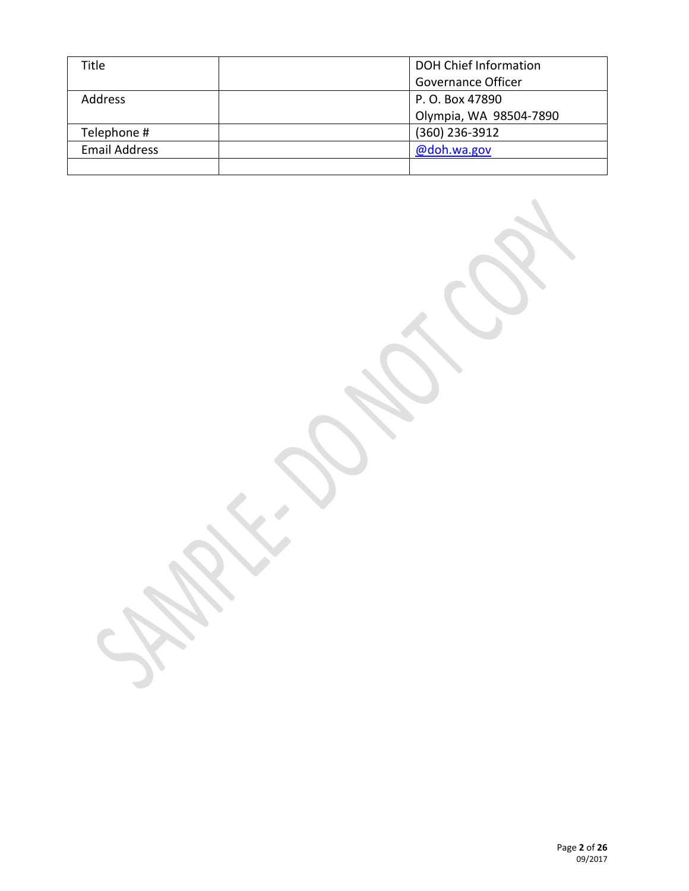| Title                | <b>DOH Chief Information</b> |
|----------------------|------------------------------|
|                      | Governance Officer           |
| <b>Address</b>       | P. O. Box 47890              |
|                      | Olympia, WA 98504-7890       |
| Telephone #          | (360) 236-3912               |
| <b>Email Address</b> | @doh.wa.gov                  |
|                      |                              |

S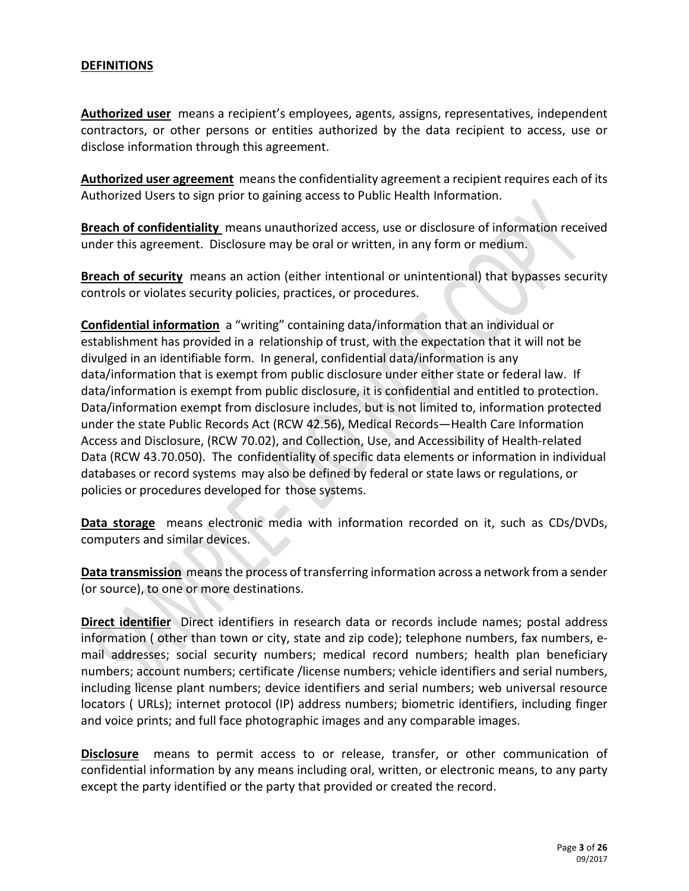# **DEFINITIONS**

**Authorized user** means a recipient's employees, agents, assigns, representatives, independent contractors, or other persons or entities authorized by the data recipient to access, use or disclose information through this agreement.

Authorized user agreement means the confidentiality agreement a recipient requires each of its Authorized Users to sign prior to gaining access to Public Health Information.

**Breach of confidentiality** means unauthorized access, use or disclosure of information received under this agreement. Disclosure may be oral or written, in any form or medium.

**Breach of security** means an action (either intentional or unintentional) that bypasses security controls or violates security policies, practices, or procedures.

**Confidential information** a "writing" containing data/information that an individual or establishment has provided in a relationship of trust, with the expectation that it will not be divulged in an identifiable form. In general, confidential data/information is any data/information that is exempt from public disclosure under either state or federal law. If data/information is exempt from public disclosure, it is confidential and entitled to protection. Data/information exempt from disclosure includes, but is not limited to, information protected under the state Public Records Act (RCW 42.56), Medical Records—Health Care Information Access and Disclosure, (RCW 70.02), and Collection, Use, and Accessibility of Health-related Data (RCW 43.70.050). The confidentiality of specific data elements or information in individual databases or record systems may also be defined by federal or state laws or regulations, or policies or procedures developed for those systems.

**Data storage** means electronic media with information recorded on it, such as CDs/DVDs, computers and similar devices.

**Data transmission** means the process of transferring information across a network from a sender (or source), to one or more destinations.

**Direct identifier** Direct identifiers in research data or records include names; postal address information ( other than town or city, state and zip code); telephone numbers, fax numbers, email addresses; social security numbers; medical record numbers; health plan beneficiary numbers; account numbers; certificate /license numbers; vehicle identifiers and serial numbers, including license plant numbers; device identifiers and serial numbers; web universal resource locators ( URLs); internet protocol (IP) address numbers; biometric identifiers, including finger and voice prints; and full face photographic images and any comparable images.

**Disclosure** means to permit access to or release, transfer, or other communication of confidential information by any means including oral, written, or electronic means, to any party except the party identified or the party that provided or created the record.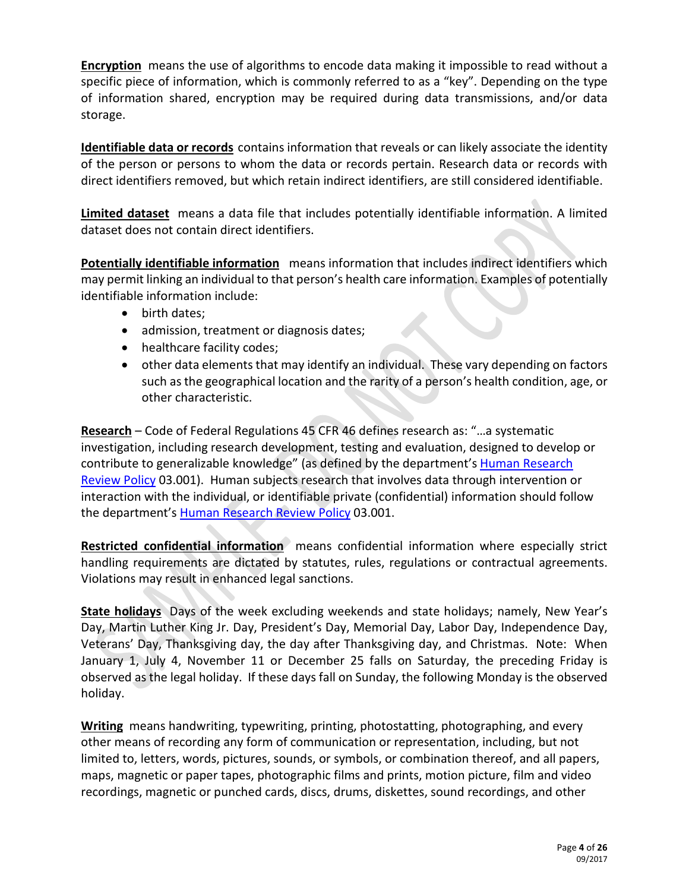**Encryption** means the use of algorithms to encode data making it impossible to read without a specific piece of information, which is commonly referred to as a "key". Depending on the type of information shared, encryption may be required during data transmissions, and/or data storage.

**Identifiable data or records** contains information that reveals or can likely associate the identity of the person or persons to whom the data or records pertain. Research data or records with direct identifiers removed, but which retain indirect identifiers, are still considered identifiable.

**Limited dataset** means a data file that includes potentially identifiable information. A limited dataset does not contain direct identifiers.

**Potentially identifiable information** means information that includes indirect identifiers which may permit linking an individual to that person's health care information. Examples of potentially identifiable information include:

- birth dates;
- admission, treatment or diagnosis dates;
- healthcare facility codes;
- other data elements that may identify an individual. These vary depending on factors such as the geographical location and the rarity of a person's health condition, age, or other characteristic.

**Research** – Code of Federal Regulations 45 CFR 46 defines research as: "…a systematic investigation, including research development, testing and evaluation, designed to develop or contribute to generalizable knowledge" (as defined by the department's Human Research [Review Policy](https://doh.sp.wa.gov/sites/OS/pr/hr/Shared%20Documents/OS03001pol.doc) 03.001). Human subjects research that involves data through intervention or interaction with the individual, or identifiable private (confidential) information should follow the department's [Human Research Review Policy](https://doh.sp.wa.gov/sites/OS/pr/hr/Shared%20Documents/OS03001pol.doc) 03.001.

**Restricted confidential information** means confidential information where especially strict handling requirements are dictated by statutes, rules, regulations or contractual agreements. Violations may result in enhanced legal sanctions.

**State holidays** Days of the week excluding weekends and state holidays; namely, New Year's Day, Martin Luther King Jr. Day, President's Day, Memorial Day, Labor Day, Independence Day, Veterans' Day, Thanksgiving day, the day after Thanksgiving day, and Christmas. Note: When January 1, July 4, November 11 or December 25 falls on Saturday, the preceding Friday is observed as the legal holiday. If these days fall on Sunday, the following Monday is the observed holiday.

**Writing** means handwriting, typewriting, printing, photostatting, photographing, and every other means of recording any form of communication or representation, including, but not limited to, letters, words, pictures, sounds, or symbols, or combination thereof, and all papers, maps, magnetic or paper tapes, photographic films and prints, motion picture, film and video recordings, magnetic or punched cards, discs, drums, diskettes, sound recordings, and other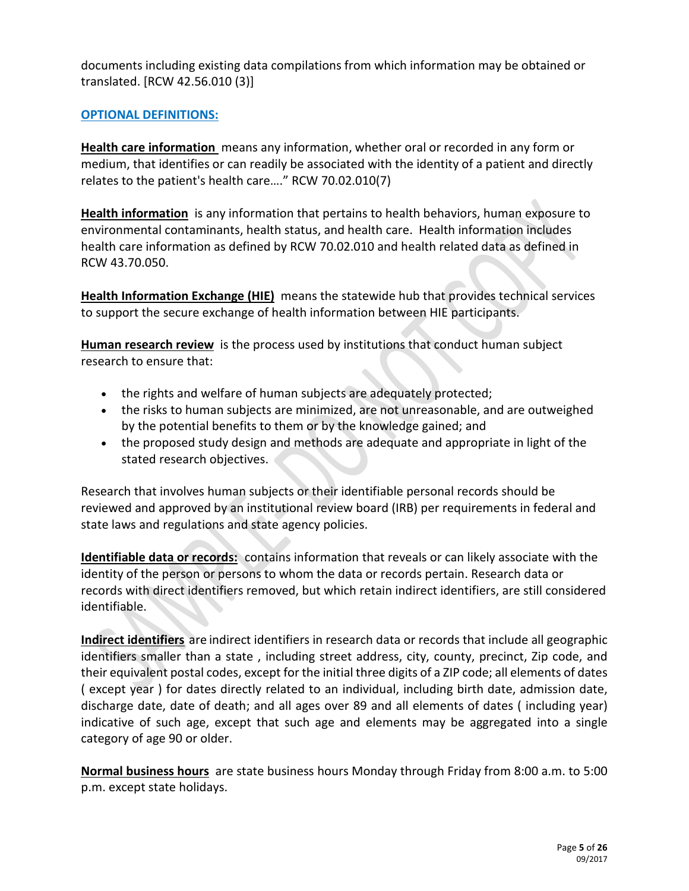documents including existing data compilations from which information may be obtained or translated. [RCW 42.56.010 (3)]

# **OPTIONAL DEFINITIONS:**

**Health care information** means any information, whether oral or recorded in any form or medium, that identifies or can readily be associated with the identity of a patient and directly relates to the patient's health care…." RCW 70.02.010(7)

**Health information** is any information that pertains to health behaviors, human exposure to environmental contaminants, health status, and health care. Health information includes health care information as defined by RCW 70.02.010 and health related data as defined in RCW 43.70.050.

**Health Information Exchange (HIE)** means the statewide hub that provides technical services to support the secure exchange of health information between HIE participants.

**Human research review** is the process used by institutions that conduct human subject research to ensure that:

- the rights and welfare of human subjects are adequately protected;
- the risks to human subjects are minimized, are not unreasonable, and are outweighed by the potential benefits to them or by the knowledge gained; and
- the proposed study design and methods are adequate and appropriate in light of the stated research objectives.

Research that involves human subjects or their identifiable personal records should be reviewed and approved by an institutional review board (IRB) per requirements in federal and state laws and regulations and state agency policies.

**Identifiable data or records:**contains information that reveals or can likely associate with the identity of the person or persons to whom the data or records pertain. Research data or records with direct identifiers removed, but which retain indirect identifiers, are still considered identifiable.

**Indirect identifiers** are indirect identifiers in research data or records that include all geographic identifiers smaller than a state , including street address, city, county, precinct, Zip code, and their equivalent postal codes, except for the initial three digits of a ZIP code; all elements of dates ( except year ) for dates directly related to an individual, including birth date, admission date, discharge date, date of death; and all ages over 89 and all elements of dates ( including year) indicative of such age, except that such age and elements may be aggregated into a single category of age 90 or older.

**Normal business hours** are state business hours Monday through Friday from 8:00 a.m. to 5:00 p.m. except state holidays.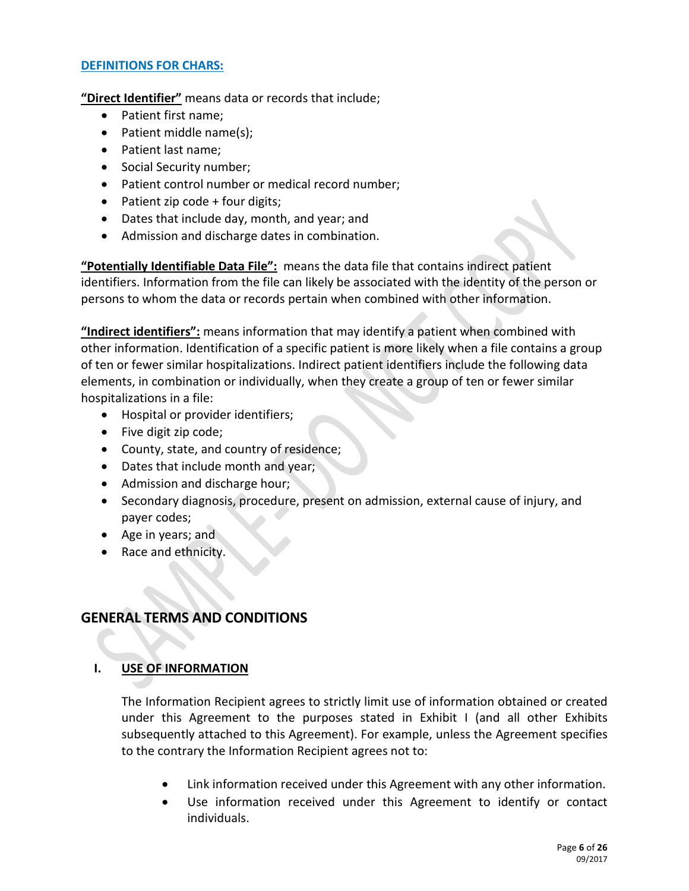# **DEFINITIONS FOR CHARS:**

**"Direct Identifier"** means data or records that include;

- Patient first name;
- Patient middle name(s);
- Patient last name;
- Social Security number;
- Patient control number or medical record number;
- Patient zip code  $+$  four digits;
- Dates that include day, month, and year; and
- Admission and discharge dates in combination.

**"Potentially Identifiable Data File":**means the data file that contains indirect patient identifiers. Information from the file can likely be associated with the identity of the person or persons to whom the data or records pertain when combined with other information.

**"Indirect identifiers":** means information that may identify a patient when combined with other information. Identification of a specific patient is more likely when a file contains a group of ten or fewer similar hospitalizations. Indirect patient identifiers include the following data elements, in combination or individually, when they create a group of ten or fewer similar hospitalizations in a file:

- Hospital or provider identifiers;
- Five digit zip code;
- County, state, and country of residence;
- Dates that include month and year;
- Admission and discharge hour;
- Secondary diagnosis, procedure, present on admission, external cause of injury, and payer codes;
- Age in years; and
- Race and ethnicity.

# **GENERAL TERMS AND CONDITIONS**

## **I. USE OF INFORMATION**

The Information Recipient agrees to strictly limit use of information obtained or created under this Agreement to the purposes stated in Exhibit I (and all other Exhibits subsequently attached to this Agreement). For example, unless the Agreement specifies to the contrary the Information Recipient agrees not to:

- Link information received under this Agreement with any other information.
- Use information received under this Agreement to identify or contact individuals.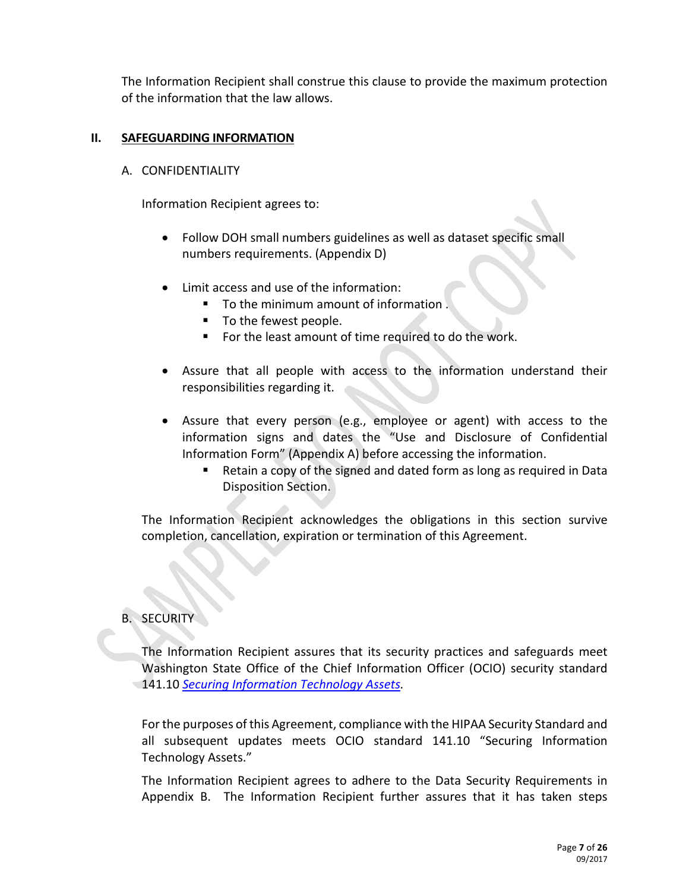The Information Recipient shall construe this clause to provide the maximum protection of the information that the law allows.

## **II. SAFEGUARDING INFORMATION**

### A. CONFIDENTIALITY

Information Recipient agrees to:

- Follow DOH small numbers guidelines as well as dataset specific small numbers requirements. (Appendix D)
- Limit access and use of the information:
	- To the minimum amount of information.
	- To the fewest people.
	- For the least amount of time required to do the work.
- Assure that all people with access to the information understand their responsibilities regarding it.
- Assure that every person (e.g., employee or agent) with access to the information signs and dates the "Use and Disclosure of Confidential Information Form" (Appendix A) before accessing the information.
	- Retain a copy of the signed and dated form as long as required in Data Disposition Section.

The Information Recipient acknowledges the obligations in this section survive completion, cancellation, expiration or termination of this Agreement.

# B. SECURITY

The Information Recipient assures that its security practices and safeguards meet Washington State Office of the Chief Information Officer (OCIO) security standard 141.10 *[Securing Information Technology Assets.](https://ocio.wa.gov/policies/141-securing-information-technology-assets)* 

For the purposes of this Agreement, compliance with the HIPAA Security Standard and all subsequent updates meets OCIO standard 141.10 "Securing Information Technology Assets."

The Information Recipient agrees to adhere to the Data Security Requirements in Appendix B. The Information Recipient further assures that it has taken steps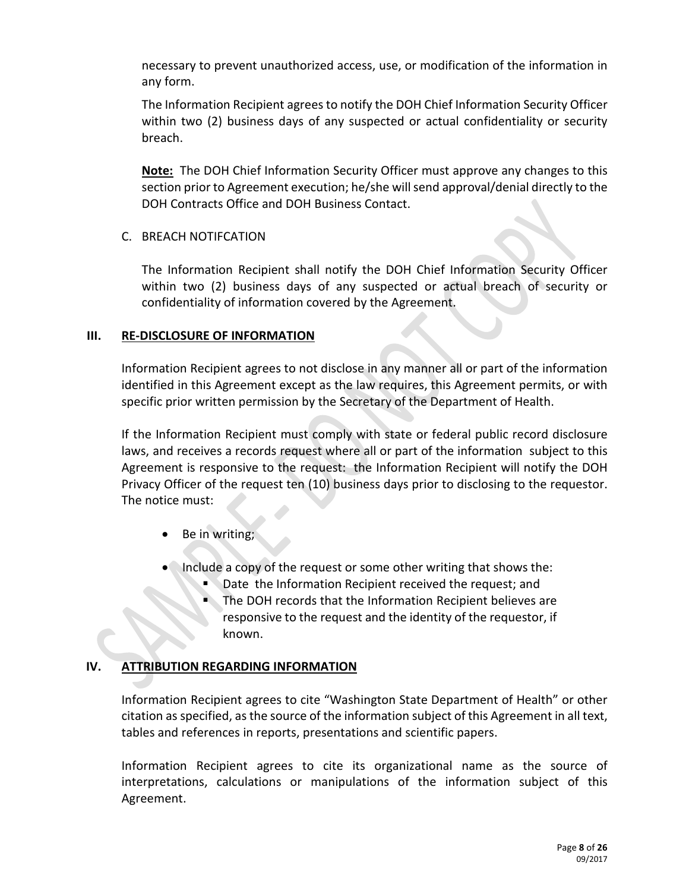necessary to prevent unauthorized access, use, or modification of the information in any form.

The Information Recipient agrees to notify the DOH Chief Information Security Officer within two (2) business days of any suspected or actual confidentiality or security breach.

**Note:** The DOH Chief Information Security Officer must approve any changes to this section prior to Agreement execution; he/she will send approval/denial directly to the DOH Contracts Office and DOH Business Contact.

# C. BREACH NOTIFCATION

The Information Recipient shall notify the DOH Chief Information Security Officer within two (2) business days of any suspected or actual breach of security or confidentiality of information covered by the Agreement.

## **III. RE-DISCLOSURE OF INFORMATION**

Information Recipient agrees to not disclose in any manner all or part of the information identified in this Agreement except as the law requires, this Agreement permits, or with specific prior written permission by the Secretary of the Department of Health.

If the Information Recipient must comply with state or federal public record disclosure laws, and receives a records request where all or part of the information subject to this Agreement is responsive to the request: the Information Recipient will notify the DOH Privacy Officer of the request ten (10) business days prior to disclosing to the requestor. The notice must:

- Be in writing;
- Include a copy of the request or some other writing that shows the:
	- Date the Information Recipient received the request; and
	- The DOH records that the Information Recipient believes are responsive to the request and the identity of the requestor, if known.

## **IV. ATTRIBUTION REGARDING INFORMATION**

Information Recipient agrees to cite "Washington State Department of Health" or other citation as specified, as the source of the information subject of this Agreement in all text, tables and references in reports, presentations and scientific papers.

Information Recipient agrees to cite its organizational name as the source of interpretations, calculations or manipulations of the information subject of this Agreement.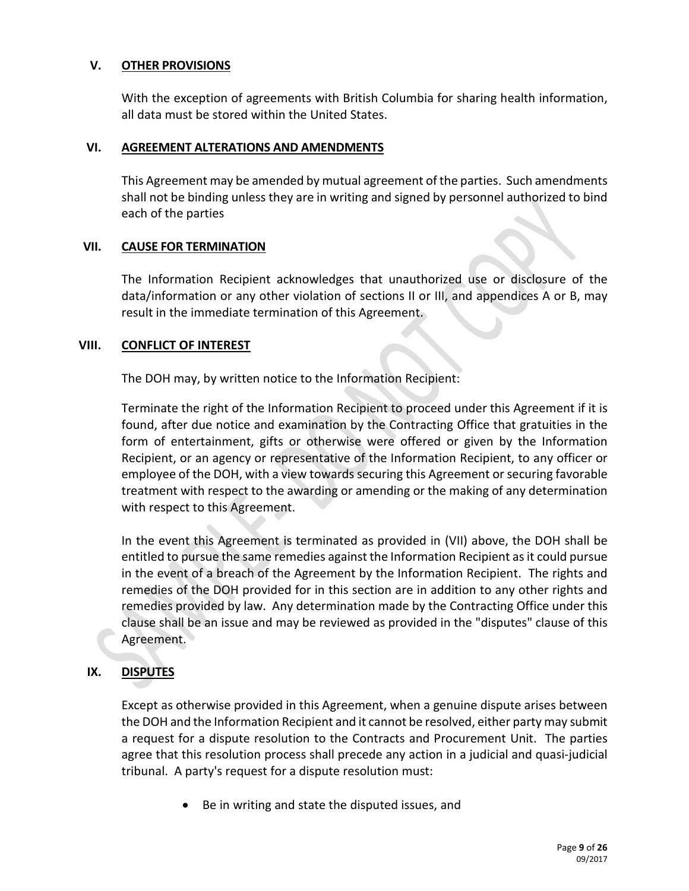# **V. OTHER PROVISIONS**

With the exception of agreements with British Columbia for sharing health information, all data must be stored within the United States.

## **VI. AGREEMENT ALTERATIONS AND AMENDMENTS**

This Agreement may be amended by mutual agreement of the parties. Such amendments shall not be binding unless they are in writing and signed by personnel authorized to bind each of the parties

## **VII. CAUSE FOR TERMINATION**

The Information Recipient acknowledges that unauthorized use or disclosure of the data/information or any other violation of sections II or III, and appendices A or B, may result in the immediate termination of this Agreement.

## **VIII. CONFLICT OF INTEREST**

The DOH may, by written notice to the Information Recipient:

Terminate the right of the Information Recipient to proceed under this Agreement if it is found, after due notice and examination by the Contracting Office that gratuities in the form of entertainment, gifts or otherwise were offered or given by the Information Recipient, or an agency or representative of the Information Recipient, to any officer or employee of the DOH, with a view towards securing this Agreement or securing favorable treatment with respect to the awarding or amending or the making of any determination with respect to this Agreement.

In the event this Agreement is terminated as provided in (VII) above, the DOH shall be entitled to pursue the same remedies against the Information Recipient as it could pursue in the event of a breach of the Agreement by the Information Recipient. The rights and remedies of the DOH provided for in this section are in addition to any other rights and remedies provided by law. Any determination made by the Contracting Office under this clause shall be an issue and may be reviewed as provided in the "disputes" clause of this Agreement.

## **IX. DISPUTES**

Except as otherwise provided in this Agreement, when a genuine dispute arises between the DOH and the Information Recipient and it cannot be resolved, either party may submit a request for a dispute resolution to the Contracts and Procurement Unit. The parties agree that this resolution process shall precede any action in a judicial and quasi-judicial tribunal. A party's request for a dispute resolution must:

Be in writing and state the disputed issues, and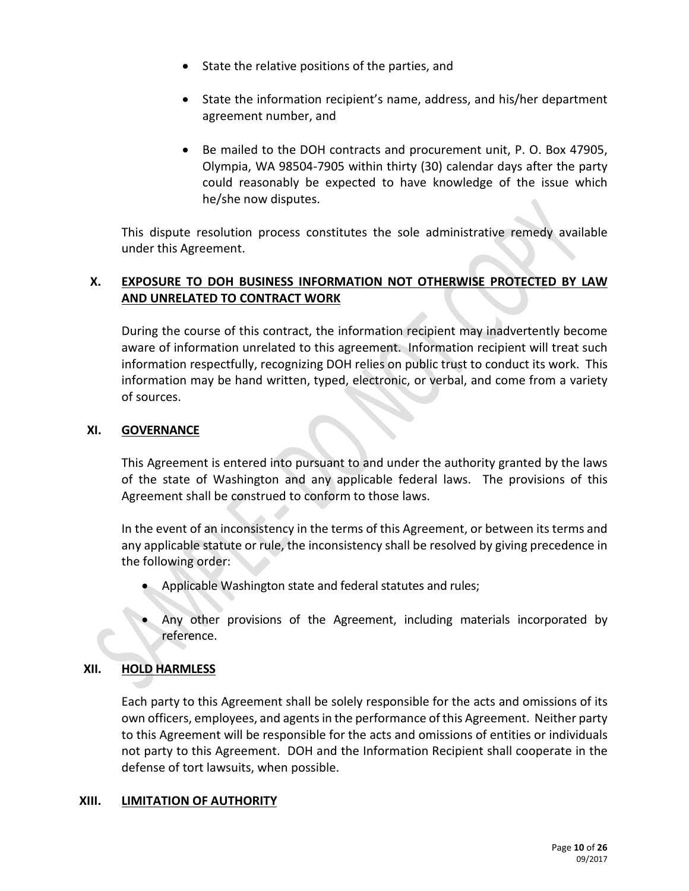- State the relative positions of the parties, and
- State the information recipient's name, address, and his/her department agreement number, and
- Be mailed to the DOH contracts and procurement unit, P. O. Box 47905, Olympia, WA 98504-7905 within thirty (30) calendar days after the party could reasonably be expected to have knowledge of the issue which he/she now disputes.

This dispute resolution process constitutes the sole administrative remedy available under this Agreement.

# **X. EXPOSURE TO DOH BUSINESS INFORMATION NOT OTHERWISE PROTECTED BY LAW AND UNRELATED TO CONTRACT WORK**

During the course of this contract, the information recipient may inadvertently become aware of information unrelated to this agreement. Information recipient will treat such information respectfully, recognizing DOH relies on public trust to conduct its work. This information may be hand written, typed, electronic, or verbal, and come from a variety of sources.

# **XI. GOVERNANCE**

This Agreement is entered into pursuant to and under the authority granted by the laws of the state of Washington and any applicable federal laws. The provisions of this Agreement shall be construed to conform to those laws.

In the event of an inconsistency in the terms of this Agreement, or between its terms and any applicable statute or rule, the inconsistency shall be resolved by giving precedence in the following order:

- Applicable Washington state and federal statutes and rules;
- Any other provisions of the Agreement, including materials incorporated by reference.

# **XII. HOLD HARMLESS**

Each party to this Agreement shall be solely responsible for the acts and omissions of its own officers, employees, and agents in the performance of this Agreement. Neither party to this Agreement will be responsible for the acts and omissions of entities or individuals not party to this Agreement. DOH and the Information Recipient shall cooperate in the defense of tort lawsuits, when possible.

## **XIII. LIMITATION OF AUTHORITY**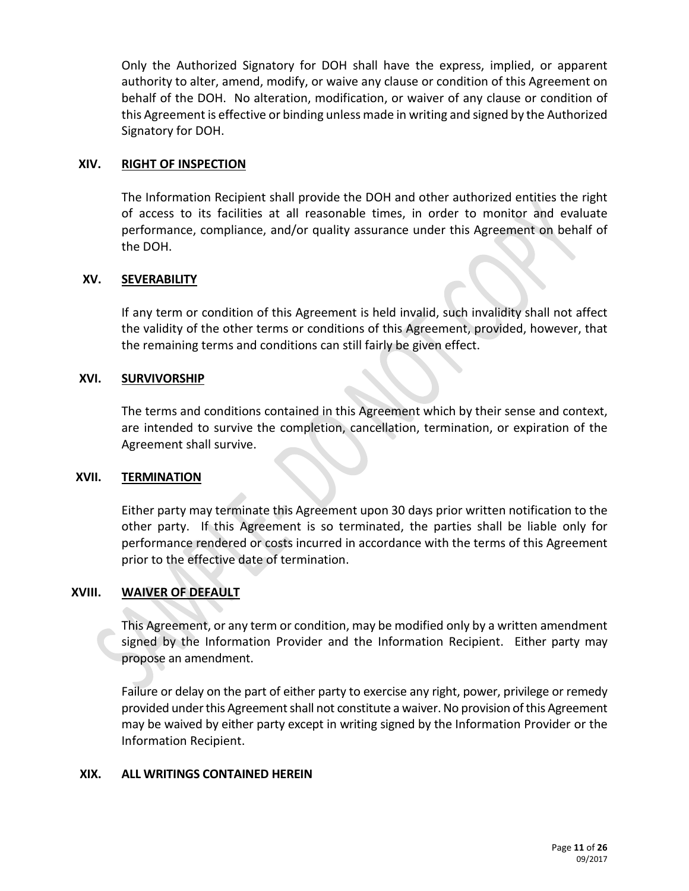Only the Authorized Signatory for DOH shall have the express, implied, or apparent authority to alter, amend, modify, or waive any clause or condition of this Agreement on behalf of the DOH. No alteration, modification, or waiver of any clause or condition of this Agreement is effective or binding unless made in writing and signed by the Authorized Signatory for DOH.

## **XIV. RIGHT OF INSPECTION**

The Information Recipient shall provide the DOH and other authorized entities the right of access to its facilities at all reasonable times, in order to monitor and evaluate performance, compliance, and/or quality assurance under this Agreement on behalf of the DOH.

# **XV. SEVERABILITY**

If any term or condition of this Agreement is held invalid, such invalidity shall not affect the validity of the other terms or conditions of this Agreement, provided, however, that the remaining terms and conditions can still fairly be given effect.

# **XVI. SURVIVORSHIP**

The terms and conditions contained in this Agreement which by their sense and context, are intended to survive the completion, cancellation, termination, or expiration of the Agreement shall survive.

## **XVII. TERMINATION**

Either party may terminate this Agreement upon 30 days prior written notification to the other party. If this Agreement is so terminated, the parties shall be liable only for performance rendered or costs incurred in accordance with the terms of this Agreement prior to the effective date of termination.

## **XVIII. WAIVER OF DEFAULT**

This Agreement, or any term or condition, may be modified only by a written amendment signed by the Information Provider and the Information Recipient. Either party may propose an amendment.

Failure or delay on the part of either party to exercise any right, power, privilege or remedy provided under this Agreement shall not constitute a waiver. No provision of this Agreement may be waived by either party except in writing signed by the Information Provider or the Information Recipient.

## **XIX. ALL WRITINGS CONTAINED HEREIN**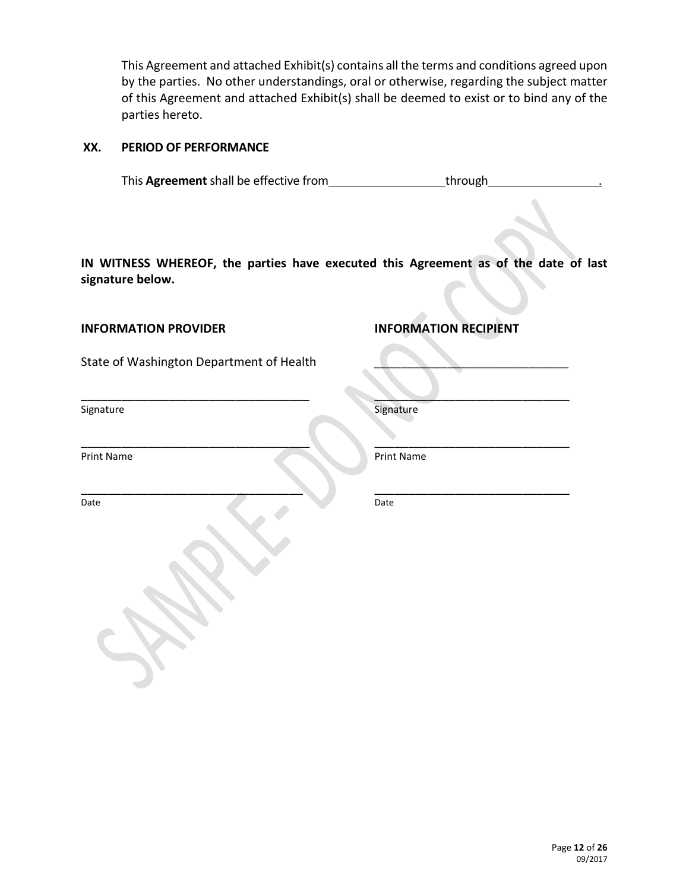This Agreement and attached Exhibit(s) contains all the terms and conditions agreed upon by the parties. No other understandings, oral or otherwise, regarding the subject matter of this Agreement and attached Exhibit(s) shall be deemed to exist or to bind any of the parties hereto.

## **XX. PERIOD OF PERFORMANCE**

This **Agreement** shall be effective from the state of through

**IN WITNESS WHEREOF, the parties have executed this Agreement as of the date of last signature below.**

\_\_\_\_\_\_\_\_\_\_\_\_\_\_\_\_\_\_\_\_\_\_\_\_\_\_\_\_\_\_\_\_\_\_ \_\_\_\_\_\_\_\_\_\_\_\_\_\_\_\_\_\_\_\_\_\_\_\_\_\_\_\_\_

 $\qquad \qquad \qquad \qquad \qquad \qquad \qquad \qquad \qquad \qquad$ 

**INFORMATION PROVIDER INFORMATION RECIPIENT**

State of Washington Department of Health

\_\_\_\_\_\_\_\_\_\_\_\_\_\_\_\_\_\_\_\_\_\_\_\_\_\_\_\_\_\_\_\_\_\_ \_\_\_\_\_\_\_\_\_\_\_\_\_\_\_\_\_\_\_\_\_\_\_\_\_\_\_\_\_

Signature Signature Signature

Print Name Print Name Print Name

Date Date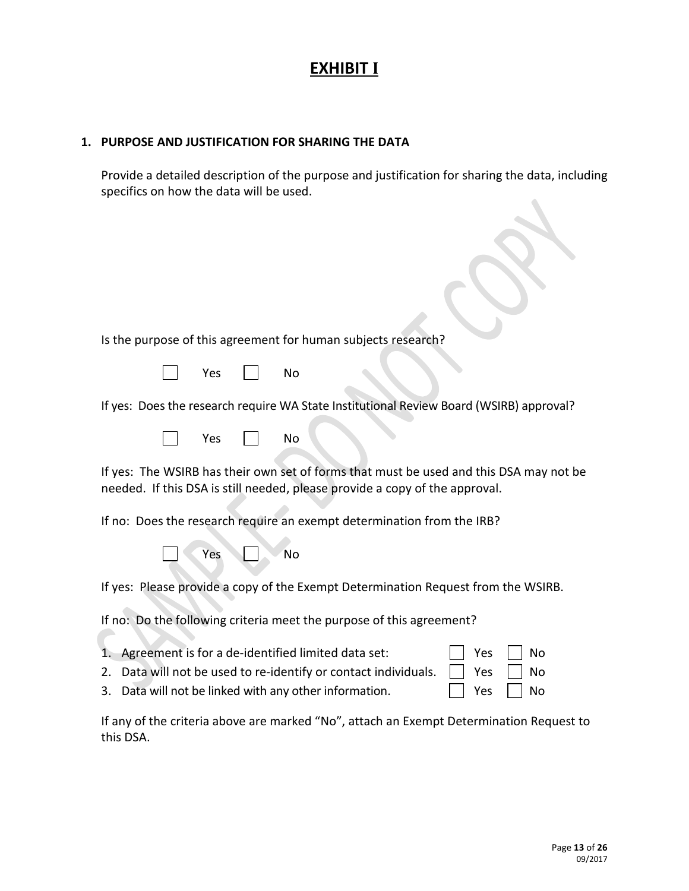# **EXHIBIT I**

# **1. PURPOSE AND JUSTIFICATION FOR SHARING THE DATA**

Provide a detailed description of the purpose and justification for sharing the data, including specifics on how the data will be used.

| Is the purpose of this agreement for human subjects research?                                                                                                                                                                      |  |
|------------------------------------------------------------------------------------------------------------------------------------------------------------------------------------------------------------------------------------|--|
|                                                                                                                                                                                                                                    |  |
| Yes<br><b>No</b>                                                                                                                                                                                                                   |  |
| If yes: Does the research require WA State Institutional Review Board (WSIRB) approval?                                                                                                                                            |  |
| <b>No</b><br>Yes                                                                                                                                                                                                                   |  |
| If yes: The WSIRB has their own set of forms that must be used and this DSA may not be<br>needed. If this DSA is still needed, please provide a copy of the approval.                                                              |  |
| If no: Does the research require an exempt determination from the IRB?                                                                                                                                                             |  |
| <b>No</b><br>Yes                                                                                                                                                                                                                   |  |
| If yes: Please provide a copy of the Exempt Determination Request from the WSIRB.                                                                                                                                                  |  |
| If no: Do the following criteria meet the purpose of this agreement?                                                                                                                                                               |  |
| Agreement is for a de-identified limited data set:<br>Yes<br>No<br>1.<br>Data will not be used to re-identify or contact individuals.<br>Yes<br>No<br>2.<br>Data will not be linked with any other information.<br>Yes<br>No<br>3. |  |

If any of the criteria above are marked "No", attach an Exempt Determination Request to this DSA.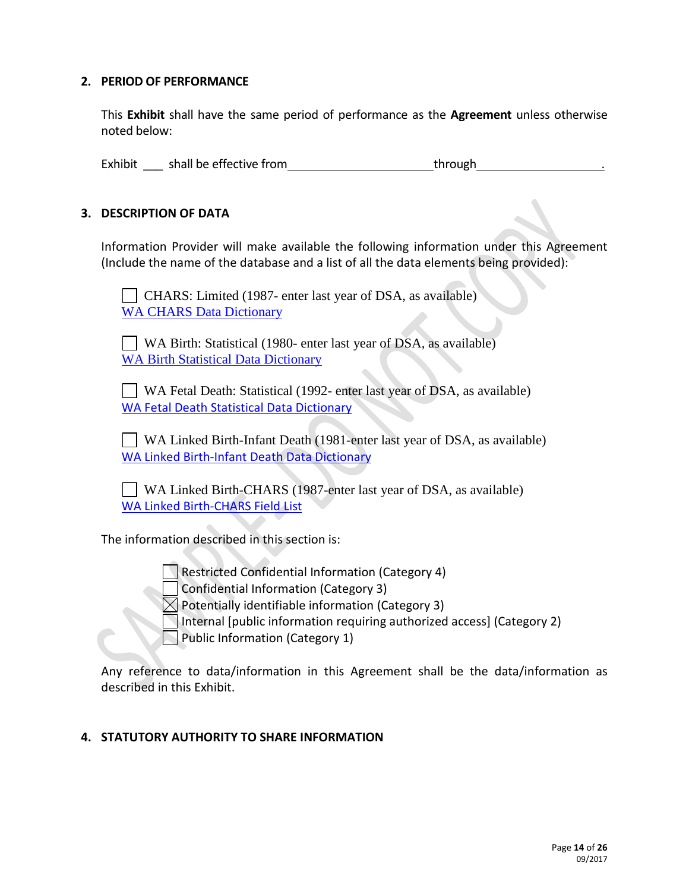## **2. PERIOD OF PERFORMANCE**

This **Exhibit** shall have the same period of performance as the **Agreement** unless otherwise noted below:

Exhibit \_\_\_\_ shall be effective from \_\_\_\_\_\_\_\_\_\_\_\_\_\_\_\_\_\_\_\_\_\_\_\_\_\_\_\_\_\_through

# **3. DESCRIPTION OF DATA**

Information Provider will make available the following information under this Agreement (Include the name of the database and a list of all the data elements being provided):

 CHARS: Limited (1987- enter last year of DSA, as available) [WA CHARS Data Dictionary](http://www.doh.wa.gov/Portals/1/Documents/5300/Dictionary-CHARS-Limited.xlsx)

 WA Birth: Statistical (1980- enter last year of DSA, as available) [WA Birth Statistical Data Dictionary](http://www.doh.wa.gov/Portals/1/Documents/5300/BirthDataDictionary.docx)

 WA Fetal Death: Statistical (1992- enter last year of DSA, as available) [WA Fetal Death Statistical Data Dictionary](http://www.doh.wa.gov/Portals/1/Documents/5300/FetalDeathDataDictionary.docx)

 WA Linked Birth-Infant Death (1981-enter last year of DSA, as available) [WA Linked Birth-Infant Death Data Dictionary](http://www.doh.wa.gov/Portals/1/Documents/5300/InfantDeathDataDictionary.docx)

 WA Linked Birth-CHARS (1987-enter last year of DSA, as available) [WA Linked Birth-CHARS Field List](http://www.doh.wa.gov/Portals/1/Documents/5300/VariableListLinkedBirthCHARSfile.xlsx)

The information described in this section is:



 $\times$  Potentially identifiable information (Category 3) Internal [public information requiring authorized access] (Category 2) Public Information (Category 1)

Any reference to data/information in this Agreement shall be the data/information as described in this Exhibit.

# **4. STATUTORY AUTHORITY TO SHARE INFORMATION**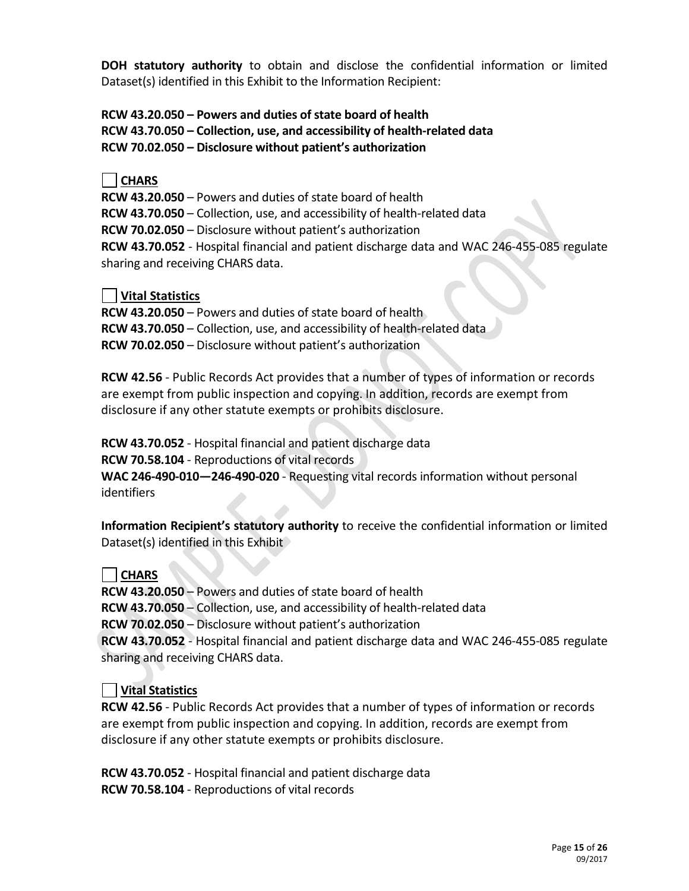**DOH statutory authority** to obtain and disclose the confidential information or limited Dataset(s) identified in this Exhibit to the Information Recipient:

**RCW 43.20.050 – Powers and duties of state board of health RCW 43.70.050 – Collection, use, and accessibility of health-related data RCW 70.02.050 – Disclosure without patient's authorization**

# **CHARS**

**RCW 43.20.050** – Powers and duties of state board of health **RCW 43.70.050** – Collection, use, and accessibility of health-related data **RCW 70.02.050** – Disclosure without patient's authorization **RCW 43.70.052** - Hospital financial and patient discharge data and WAC 246-455-085 regulate sharing and receiving CHARS data.

# **Vital Statistics**

**RCW 43.20.050** – Powers and duties of state board of health **RCW 43.70.050** – Collection, use, and accessibility of health-related data **RCW 70.02.050** – Disclosure without patient's authorization

**RCW 42.56** - Public Records Act provides that a number of types of information or records are exempt from public inspection and copying. In addition, records are exempt from disclosure if any other statute exempts or prohibits disclosure.

**RCW 43.70.052** - Hospital financial and patient discharge data **RCW 70.58.104** - Reproductions of vital records **WAC 246-490-010—246-490-020** - Requesting vital records information without personal identifiers

**Information Recipient's statutory authority** to receive the confidential information or limited Dataset(s) identified in this Exhibit

# **CHARS**

**RCW 43.20.050** – Powers and duties of state board of health **RCW 43.70.050** – Collection, use, and accessibility of health-related data **RCW 70.02.050** – Disclosure without patient's authorization **RCW 43.70.052** - Hospital financial and patient discharge data and WAC 246-455-085 regulate sharing and receiving CHARS data.

# **Vital Statistics**

**RCW 42.56** - Public Records Act provides that a number of types of information or records are exempt from public inspection and copying. In addition, records are exempt from disclosure if any other statute exempts or prohibits disclosure.

**RCW 43.70.052** - Hospital financial and patient discharge data **RCW 70.58.104** - Reproductions of vital records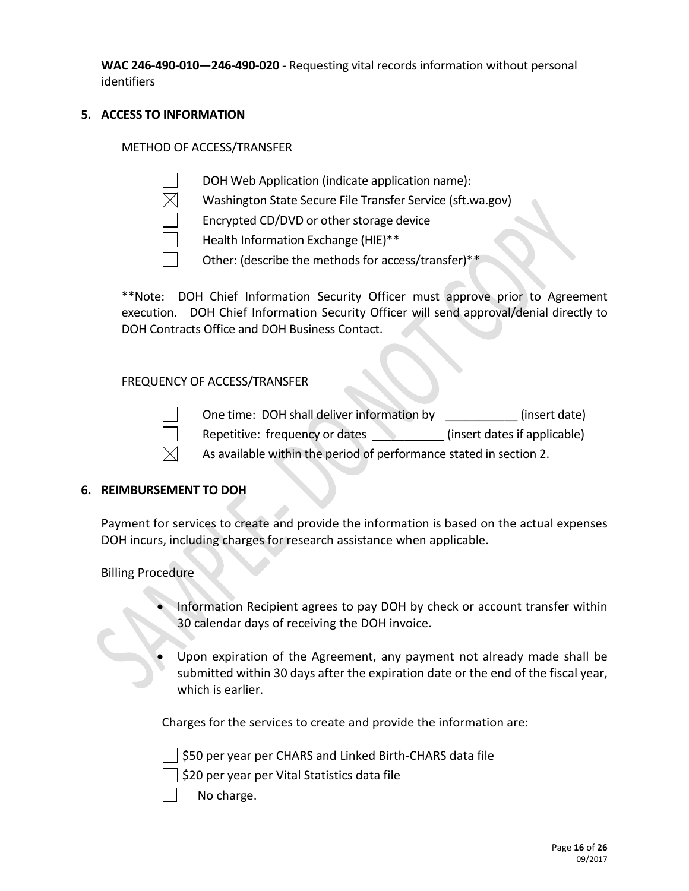**WAC 246-490-010—246-490-020** - Requesting vital records information without personal identifiers

# **5. ACCESS TO INFORMATION**

## METHOD OF ACCESS/TRANSFER

DOH Web Application (indicate application name):

- Washington State Secure File Transfer Service (sft.wa.gov)
- Encrypted CD/DVD or other storage device
- Health Information Exchange (HIE)\*\*
- Other: (describe the methods for access/transfer)\*\*

\*\*Note: DOH Chief Information Security Officer must approve prior to Agreement execution. DOH Chief Information Security Officer will send approval/denial directly to DOH Contracts Office and DOH Business Contact.

## FREQUENCY OF ACCESS/TRANSFER



One time: DOH shall deliver information by  $(insert date)$ 

Repetitive: frequency or dates **Exercise 20** (insert dates if applicable)

As available within the period of performance stated in section 2.

## **6. REIMBURSEMENT TO DOH**

Payment for services to create and provide the information is based on the actual expenses DOH incurs, including charges for research assistance when applicable.

# Billing Procedure

- Information Recipient agrees to pay DOH by check or account transfer within 30 calendar days of receiving the DOH invoice.
- Upon expiration of the Agreement, any payment not already made shall be submitted within 30 days after the expiration date or the end of the fiscal year, which is earlier.

Charges for the services to create and provide the information are:

\$50 per year per CHARS and Linked Birth-CHARS data file

 $\frac{1}{2}$  \$20 per year per Vital Statistics data file

No charge.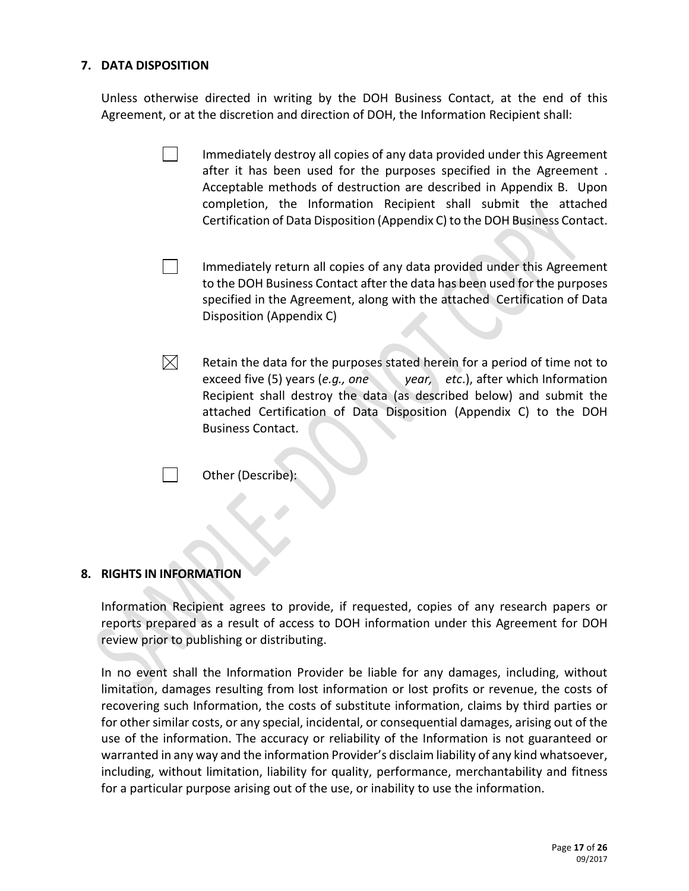# **7. DATA DISPOSITION**

Unless otherwise directed in writing by the DOH Business Contact, at the end of this Agreement, or at the discretion and direction of DOH, the Information Recipient shall:

- $\mathbf{L}$ Immediately destroy all copies of any data provided under this Agreement after it has been used for the purposes specified in the Agreement . Acceptable methods of destruction are described in Appendix B. Upon completion, the Information Recipient shall submit the attached Certification of Data Disposition (Appendix C) to the DOH Business Contact.
- $\blacksquare$ Immediately return all copies of any data provided under this Agreement to the DOH Business Contact after the data has been used for the purposes specified in the Agreement, along with the attached Certification of Data Disposition (Appendix C)
- $\boxtimes$ Retain the data for the purposes stated herein for a period of time not to exceed five (5) years (*e.g., one* year, etc.), after which Information Recipient shall destroy the data (as described below) and submit the attached Certification of Data Disposition (Appendix C) to the DOH Business Contact.

Other (Describe):

#### **8. RIGHTS IN INFORMATION**

 $\sim$  1

Information Recipient agrees to provide, if requested, copies of any research papers or reports prepared as a result of access to DOH information under this Agreement for DOH review prior to publishing or distributing.

In no event shall the Information Provider be liable for any damages, including, without limitation, damages resulting from lost information or lost profits or revenue, the costs of recovering such Information, the costs of substitute information, claims by third parties or for other similar costs, or any special, incidental, or consequential damages, arising out of the use of the information. The accuracy or reliability of the Information is not guaranteed or warranted in any way and the information Provider's disclaim liability of any kind whatsoever, including, without limitation, liability for quality, performance, merchantability and fitness for a particular purpose arising out of the use, or inability to use the information.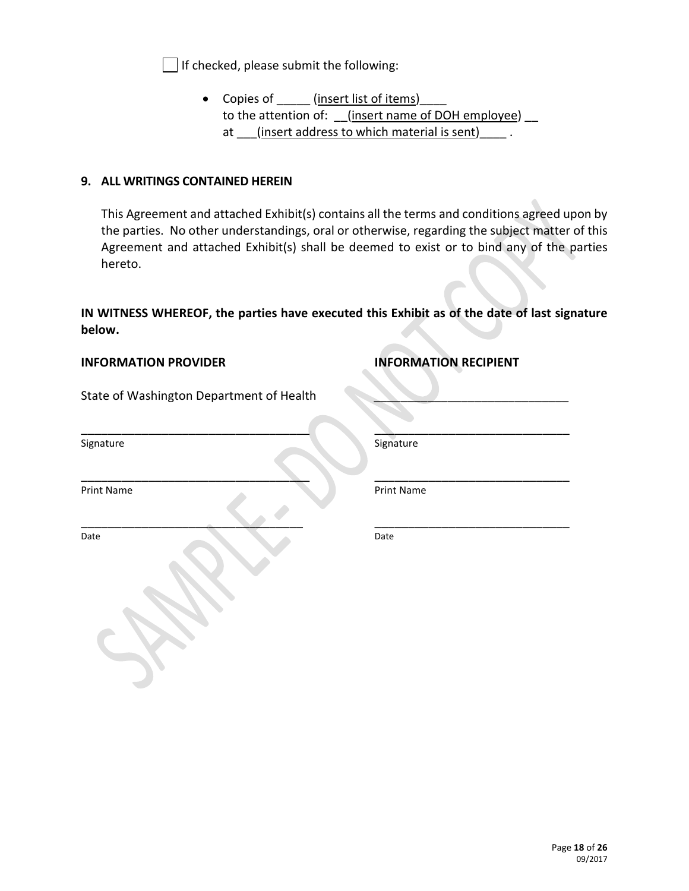$\Box$  If checked, please submit the following:

• Copies of (insert list of items) to the attention of: (insert name of DOH employee) at (insert address to which material is sent)

## **9. ALL WRITINGS CONTAINED HEREIN**

This Agreement and attached Exhibit(s) contains all the terms and conditions agreed upon by the parties. No other understandings, oral or otherwise, regarding the subject matter of this Agreement and attached Exhibit(s) shall be deemed to exist or to bind any of the parties hereto.

**IN WITNESS WHEREOF, the parties have executed this Exhibit as of the date of last signature below.**

 $\sim$  . The contract of the contract of the contract of the contract of the contract of the contract of the contract of the contract of the contract of the contract of the contract of the contract of the contract of the co

\_\_\_\_\_\_\_\_\_\_\_\_\_\_\_\_\_\_\_\_\_\_\_\_\_\_\_\_\_\_\_\_\_ \_\_\_\_\_\_\_\_\_\_\_\_\_\_\_\_\_\_\_\_\_\_\_\_\_\_\_\_\_

## **INFORMATION PROVIDER INFORMATION RECIPIENT**

State of Washington Department of Health

\_\_\_\_\_\_\_\_\_\_\_\_\_\_\_\_\_\_\_\_\_\_\_\_\_\_\_\_\_\_\_\_\_\_ \_\_\_\_\_\_\_\_\_\_\_\_\_\_\_\_\_\_\_\_\_\_\_\_\_\_\_\_\_

Date Date

Signature Signature Signature Signature Signature Signature Signature Signature Signature Signature Signature

Print Name Print Name Print Name Print Name Print Name Print Name Print Name Print Name Print Name Print Name Print Name Print Name Print Name Print Name Print Name Print Name Print Name Print Name Print Name Print Name Pr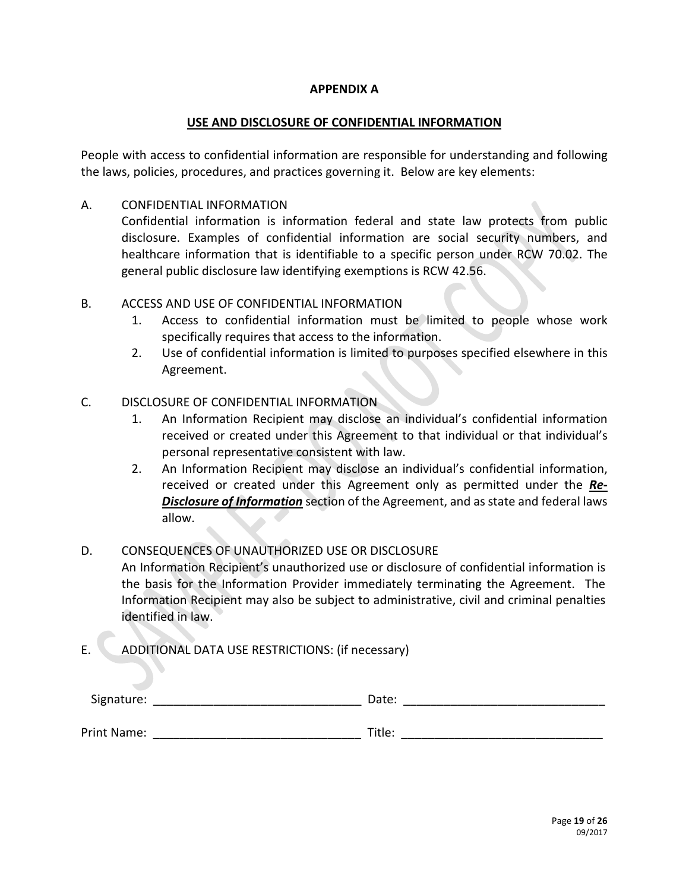## **APPENDIX A**

### **USE AND DISCLOSURE OF CONFIDENTIAL INFORMATION**

People with access to confidential information are responsible for understanding and following the laws, policies, procedures, and practices governing it. Below are key elements:

## A. CONFIDENTIAL INFORMATION

Confidential information is information federal and state law protects from public disclosure. Examples of confidential information are social security numbers, and healthcare information that is identifiable to a specific person under RCW 70.02. The general public disclosure law identifying exemptions is RCW 42.56.

## B. ACCESS AND USE OF CONFIDENTIAL INFORMATION

- 1. Access to confidential information must be limited to people whose work specifically requires that access to the information.
- 2. Use of confidential information is limited to purposes specified elsewhere in this Agreement.

## C. DISCLOSURE OF CONFIDENTIAL INFORMATION

- 1. An Information Recipient may disclose an individual's confidential information received or created under this Agreement to that individual or that individual's personal representative consistent with law.
- 2. An Information Recipient may disclose an individual's confidential information, received or created under this Agreement only as permitted under the *Re-Disclosure of Information* section of the Agreement, and as state and federal laws allow.

# D. CONSEQUENCES OF UNAUTHORIZED USE OR DISCLOSURE An Information Recipient's unauthorized use or disclosure of confidential information is the basis for the Information Provider immediately terminating the Agreement. The Information Recipient may also be subject to administrative, civil and criminal penalties identified in law.

E. ADDITIONAL DATA USE RESTRICTIONS: (if necessary)

| Signature:  | Date:  |  |
|-------------|--------|--|
| Print Name: | Title: |  |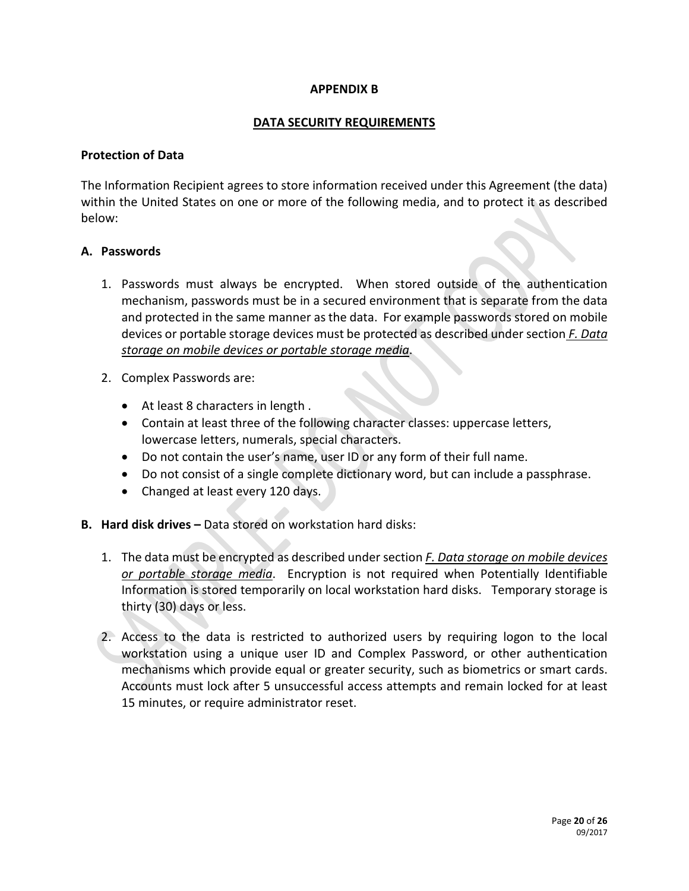## **APPENDIX B**

## **DATA SECURITY REQUIREMENTS**

## **Protection of Data**

The Information Recipient agrees to store information received under this Agreement (the data) within the United States on one or more of the following media, and to protect it as described below:

## **A. Passwords**

- 1. Passwords must always be encrypted. When stored outside of the authentication mechanism, passwords must be in a secured environment that is separate from the data and protected in the same manner as the data. For example passwords stored on mobile devices or portable storage devices must be protected as described under section *F. Data storage on mobile devices or portable storage media*.
- 2. Complex Passwords are:
	- At least 8 characters in length .
	- Contain at least three of the following character classes: uppercase letters, lowercase letters, numerals, special characters.
	- Do not contain the user's name, user ID or any form of their full name.
	- Do not consist of a single complete dictionary word, but can include a passphrase.
	- Changed at least every 120 days.
- **B. Hard disk drives –** Data stored on workstation hard disks:
	- 1. The data must be encrypted as described under section *F. Data storage on mobile devices or portable storage media*. Encryption is not required when Potentially Identifiable Information is stored temporarily on local workstation hard disks. Temporary storage is thirty (30) days or less.
	- 2. Access to the data is restricted to authorized users by requiring logon to the local workstation using a unique user ID and Complex Password, or other authentication mechanisms which provide equal or greater security, such as biometrics or smart cards. Accounts must lock after 5 unsuccessful access attempts and remain locked for at least 15 minutes, or require administrator reset.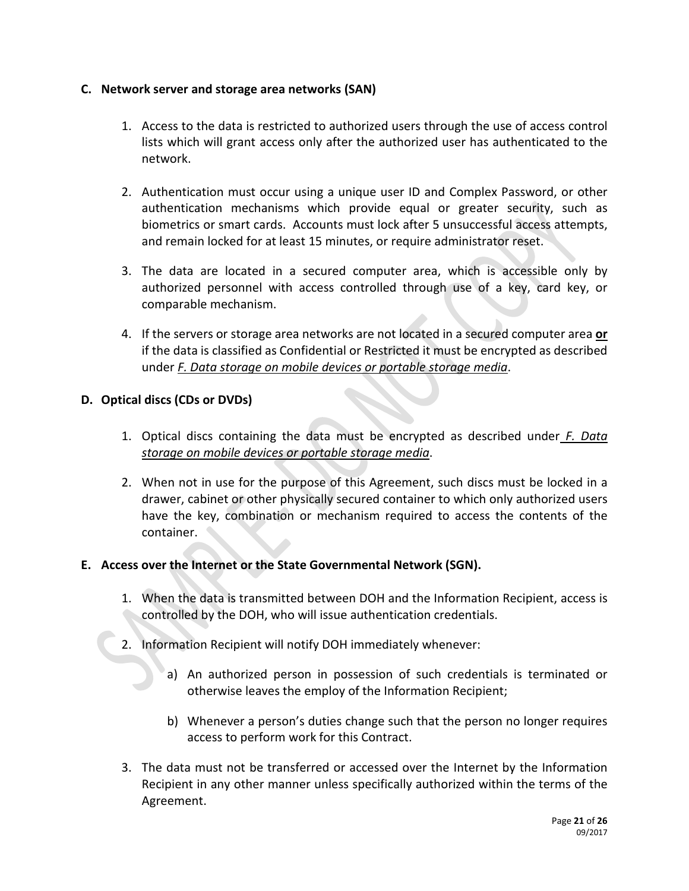# **C. Network server and storage area networks (SAN)**

- 1. Access to the data is restricted to authorized users through the use of access control lists which will grant access only after the authorized user has authenticated to the network.
- 2. Authentication must occur using a unique user ID and Complex Password, or other authentication mechanisms which provide equal or greater security, such as biometrics or smart cards. Accounts must lock after 5 unsuccessful access attempts, and remain locked for at least 15 minutes, or require administrator reset.
- 3. The data are located in a secured computer area, which is accessible only by authorized personnel with access controlled through use of a key, card key, or comparable mechanism.
- 4. If the servers or storage area networks are not located in a secured computer area **or** if the data is classified as Confidential or Restricted it must be encrypted as described under *F. Data storage on mobile devices or portable storage media*.

# **D. Optical discs (CDs or DVDs)**

- 1. Optical discs containing the data must be encrypted as described under *F. Data storage on mobile devices or portable storage media*.
- 2. When not in use for the purpose of this Agreement, such discs must be locked in a drawer, cabinet or other physically secured container to which only authorized users have the key, combination or mechanism required to access the contents of the container.

## **E. Access over the Internet or the State Governmental Network (SGN).**

- 1. When the data is transmitted between DOH and the Information Recipient, access is controlled by the DOH, who will issue authentication credentials.
- 2. Information Recipient will notify DOH immediately whenever:
	- a) An authorized person in possession of such credentials is terminated or otherwise leaves the employ of the Information Recipient;
	- b) Whenever a person's duties change such that the person no longer requires access to perform work for this Contract.
- 3. The data must not be transferred or accessed over the Internet by the Information Recipient in any other manner unless specifically authorized within the terms of the Agreement.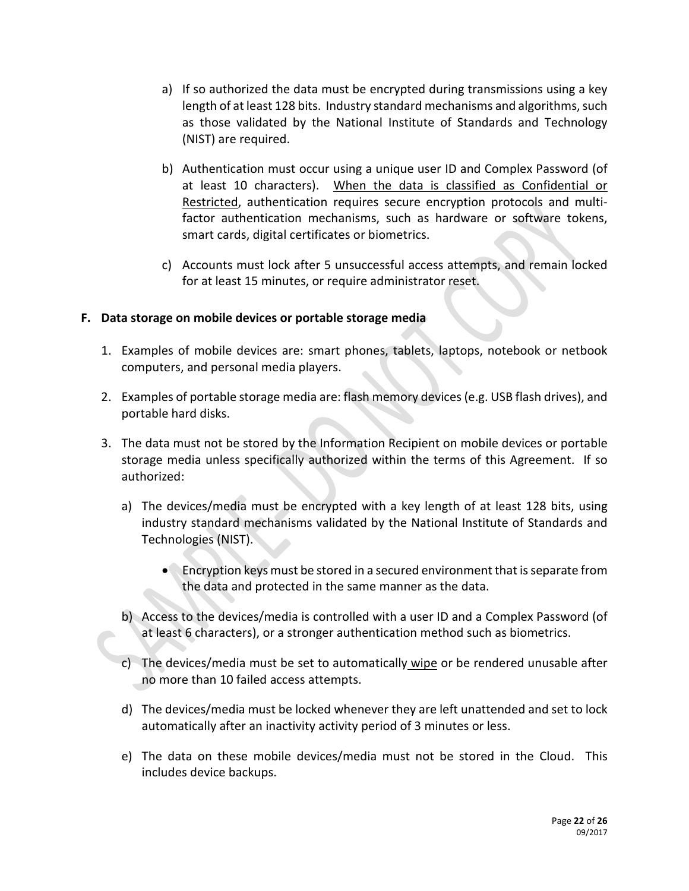- a) If so authorized the data must be encrypted during transmissions using a key length of at least 128 bits. Industry standard mechanisms and algorithms, such as those validated by the National Institute of Standards and Technology (NIST) are required.
- b) Authentication must occur using a unique user ID and Complex Password (of at least 10 characters). When the data is classified as Confidential or Restricted, authentication requires secure encryption protocols and multifactor authentication mechanisms, such as hardware or software tokens, smart cards, digital certificates or biometrics.
- c) Accounts must lock after 5 unsuccessful access attempts, and remain locked for at least 15 minutes, or require administrator reset.

# **F. Data storage on mobile devices or portable storage media**

- 1. Examples of mobile devices are: smart phones, tablets, laptops, notebook or netbook computers, and personal media players.
- 2. Examples of portable storage media are: flash memory devices (e.g. USB flash drives), and portable hard disks.
- 3. The data must not be stored by the Information Recipient on mobile devices or portable storage media unless specifically authorized within the terms of this Agreement. If so authorized:
	- a) The devices/media must be encrypted with a key length of at least 128 bits, using industry standard mechanisms validated by the National Institute of Standards and Technologies (NIST).
		- Encryption keys must be stored in a secured environment that is separate from the data and protected in the same manner as the data.
	- b) Access to the devices/media is controlled with a user ID and a Complex Password (of at least 6 characters), or a stronger authentication method such as biometrics.
	- c) The devices/media must be set to automatically wipe or be rendered unusable after no more than 10 failed access attempts.
	- d) The devices/media must be locked whenever they are left unattended and set to lock automatically after an inactivity activity period of 3 minutes or less.
	- e) The data on these mobile devices/media must not be stored in the Cloud. This includes device backups.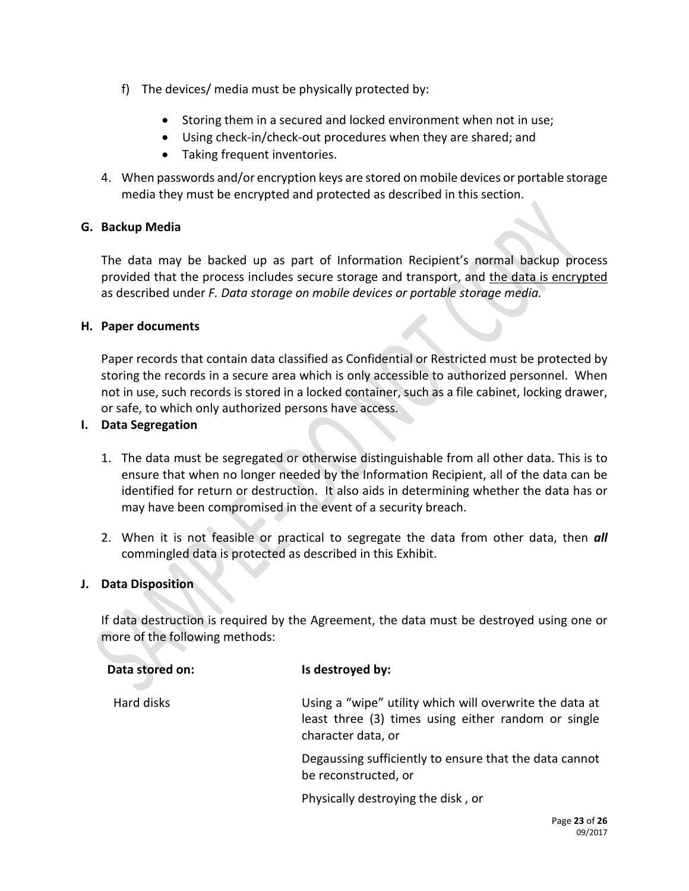- f) The devices/ media must be physically protected by:
	- Storing them in a secured and locked environment when not in use;
	- Using check-in/check-out procedures when they are shared; and
	- Taking frequent inventories.
- 4. When passwords and/or encryption keys are stored on mobile devices or portable storage media they must be encrypted and protected as described in this section.

## **G. Backup Media**

The data may be backed up as part of Information Recipient's normal backup process provided that the process includes secure storage and transport, and the data is encrypted as described under *F. Data storage on mobile devices or portable storage media.*

## **H. Paper documents**

Paper records that contain data classified as Confidential or Restricted must be protected by storing the records in a secure area which is only accessible to authorized personnel. When not in use, such records is stored in a locked container, such as a file cabinet, locking drawer, or safe, to which only authorized persons have access.

## **I. Data Segregation**

- 1. The data must be segregated or otherwise distinguishable from all other data. This is to ensure that when no longer needed by the Information Recipient, all of the data can be identified for return or destruction. It also aids in determining whether the data has or may have been compromised in the event of a security breach.
- 2. When it is not feasible or practical to segregate the data from other data, then *all* commingled data is protected as described in this Exhibit.

## **J. Data Disposition**

If data destruction is required by the Agreement, the data must be destroyed using one or more of the following methods:

| Data stored on: | Is destroyed by:                                                                                                                     |
|-----------------|--------------------------------------------------------------------------------------------------------------------------------------|
| Hard disks      | Using a "wipe" utility which will overwrite the data at<br>least three (3) times using either random or single<br>character data, or |
|                 | Degaussing sufficiently to ensure that the data cannot<br>be reconstructed, or                                                       |
|                 | Physically destroying the disk, or                                                                                                   |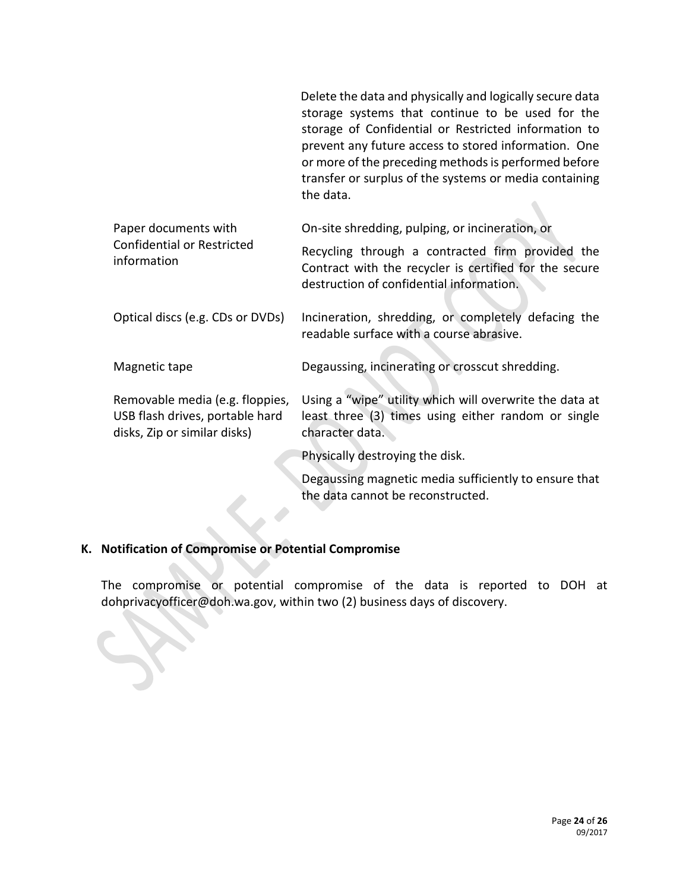|                                                                                                    | Delete the data and physically and logically secure data<br>storage systems that continue to be used for the<br>storage of Confidential or Restricted information to<br>prevent any future access to stored information. One<br>or more of the preceding methods is performed before<br>transfer or surplus of the systems or media containing<br>the data. |
|----------------------------------------------------------------------------------------------------|-------------------------------------------------------------------------------------------------------------------------------------------------------------------------------------------------------------------------------------------------------------------------------------------------------------------------------------------------------------|
| Paper documents with                                                                               | On-site shredding, pulping, or incineration, or                                                                                                                                                                                                                                                                                                             |
| <b>Confidential or Restricted</b><br>information                                                   | Recycling through a contracted firm provided the<br>Contract with the recycler is certified for the secure<br>destruction of confidential information.                                                                                                                                                                                                      |
| Optical discs (e.g. CDs or DVDs)                                                                   | Incineration, shredding, or completely defacing the<br>readable surface with a course abrasive.                                                                                                                                                                                                                                                             |
| Magnetic tape                                                                                      | Degaussing, incinerating or crosscut shredding.                                                                                                                                                                                                                                                                                                             |
| Removable media (e.g. floppies,<br>USB flash drives, portable hard<br>disks, Zip or similar disks) | Using a "wipe" utility which will overwrite the data at<br>least three (3) times using either random or single<br>character data.                                                                                                                                                                                                                           |
|                                                                                                    | Physically destroying the disk.                                                                                                                                                                                                                                                                                                                             |
|                                                                                                    | Degaussing magnetic media sufficiently to ensure that<br>the data cannot be reconstructed.                                                                                                                                                                                                                                                                  |
|                                                                                                    |                                                                                                                                                                                                                                                                                                                                                             |

# **K. Notification of Compromise or Potential Compromise**

z,

The compromise or potential compromise of the data is reported to DOH at dohprivacyofficer@doh.wa.gov, within two (2) business days of discovery.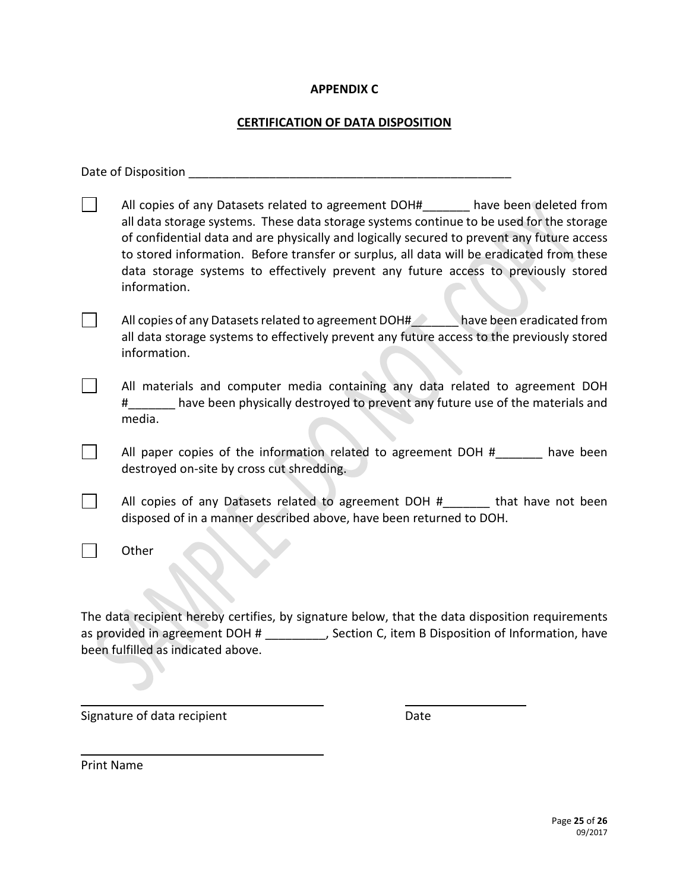# **APPENDIX C**

# **CERTIFICATION OF DATA DISPOSITION**

| Date of Disposition                                                                                                                                                                                                                                                                                                                                                                                                                                                      |
|--------------------------------------------------------------------------------------------------------------------------------------------------------------------------------------------------------------------------------------------------------------------------------------------------------------------------------------------------------------------------------------------------------------------------------------------------------------------------|
| All copies of any Datasets related to agreement DOH# have been deleted from<br>all data storage systems. These data storage systems continue to be used for the storage<br>of confidential data and are physically and logically secured to prevent any future access<br>to stored information. Before transfer or surplus, all data will be eradicated from these<br>data storage systems to effectively prevent any future access to previously stored<br>information. |
| All copies of any Datasets related to agreement DOH# have been eradicated from<br>all data storage systems to effectively prevent any future access to the previously stored<br>information.                                                                                                                                                                                                                                                                             |
| All materials and computer media containing any data related to agreement DOH<br>#______ have been physically destroyed to prevent any future use of the materials and<br>media.                                                                                                                                                                                                                                                                                         |
| All paper copies of the information related to agreement DOH # have been<br>destroyed on-site by cross cut shredding.                                                                                                                                                                                                                                                                                                                                                    |
| All copies of any Datasets related to agreement DOH # that have not been<br>disposed of in a manner described above, have been returned to DOH.                                                                                                                                                                                                                                                                                                                          |
| Other                                                                                                                                                                                                                                                                                                                                                                                                                                                                    |
| The data recipient hereby certifies, by signature below, that the data disposition requirements<br>as provided in agreement DOH # _________, Section C, item B Disposition of Information, have<br>been fulfilled as indicated above.                                                                                                                                                                                                                                    |

Signature of data recipient Date

Print Name